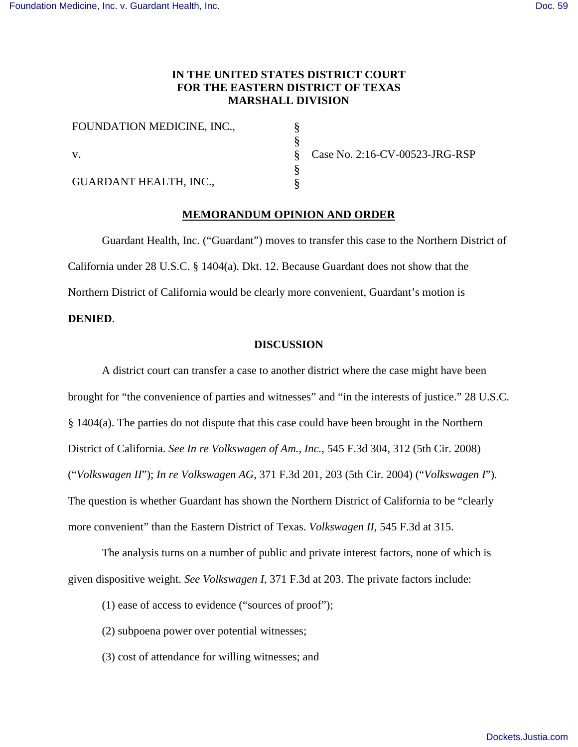# **IN THE UNITED STATES DISTRICT COURT FOR THE EASTERN DISTRICT OF TEXAS MARSHALL DIVISION**

§ § § § §

| FOUNDATION MEDICINE, INC.,    |
|-------------------------------|
| V.                            |
| <b>GUARDANT HEALTH, INC.,</b> |

Case No. 2:16-CV-00523-JRG-RSP

# **MEMORANDUM OPINION AND ORDER**

Guardant Health, Inc. ("Guardant") moves to transfer this case to the Northern District of California under 28 U.S.C. § 1404(a). Dkt. 12. Because Guardant does not show that the Northern District of California would be clearly more convenient, Guardant's motion is **DENIED**.

# **DISCUSSION**

A district court can transfer a case to another district where the case might have been brought for "the convenience of parties and witnesses" and "in the interests of justice." 28 U.S.C. § 1404(a). The parties do not dispute that this case could have been brought in the Northern District of California. *See In re Volkswagen of Am., Inc.*, 545 F.3d 304, 312 (5th Cir. 2008) ("*Volkswagen II*"); *In re Volkswagen AG*, 371 F.3d 201, 203 (5th Cir. 2004) ("*Volkswagen I*"). The question is whether Guardant has shown the Northern District of California to be "clearly more convenient" than the Eastern District of Texas. *Volkswagen II*, 545 F.3d at 315.

The analysis turns on a number of public and private interest factors, none of which is given dispositive weight. *See Volkswagen I*, 371 F.3d at 203. The private factors include:

- (1) ease of access to evidence ("sources of proof");
- (2) subpoena power over potential witnesses;
- (3) cost of attendance for willing witnesses; and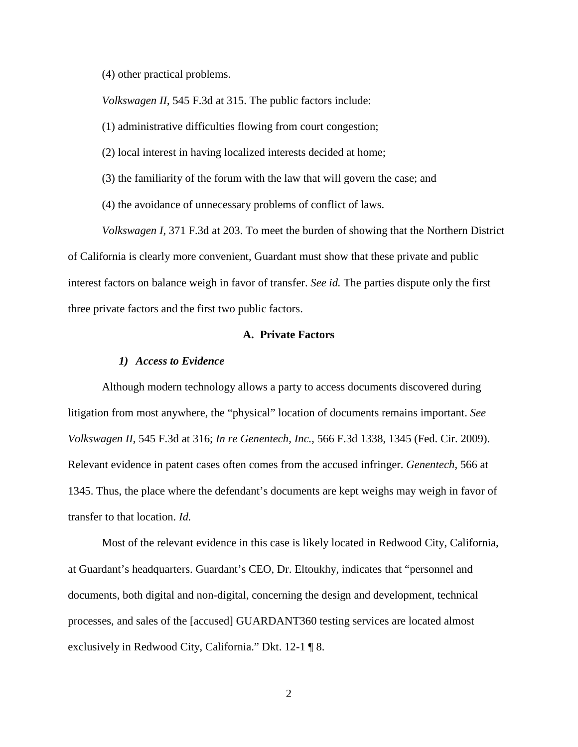(4) other practical problems.

*Volkswagen II*, 545 F.3d at 315. The public factors include:

(1) administrative difficulties flowing from court congestion;

(2) local interest in having localized interests decided at home;

(3) the familiarity of the forum with the law that will govern the case; and

(4) the avoidance of unnecessary problems of conflict of laws.

*Volkswagen I*, 371 F.3d at 203. To meet the burden of showing that the Northern District of California is clearly more convenient, Guardant must show that these private and public interest factors on balance weigh in favor of transfer. *See id.* The parties dispute only the first three private factors and the first two public factors.

# **A. Private Factors**

#### *1) Access to Evidence*

Although modern technology allows a party to access documents discovered during litigation from most anywhere, the "physical" location of documents remains important. *See Volkswagen II*, 545 F.3d at 316; *In re Genentech, Inc.*, 566 F.3d 1338, 1345 (Fed. Cir. 2009). Relevant evidence in patent cases often comes from the accused infringer. *Genentech*, 566 at 1345. Thus, the place where the defendant's documents are kept weighs may weigh in favor of transfer to that location. *Id.*

Most of the relevant evidence in this case is likely located in Redwood City, California, at Guardant's headquarters. Guardant's CEO, Dr. Eltoukhy, indicates that "personnel and documents, both digital and non-digital, concerning the design and development, technical processes, and sales of the [accused] GUARDANT360 testing services are located almost exclusively in Redwood City, California." Dkt. 12-1 ¶ 8.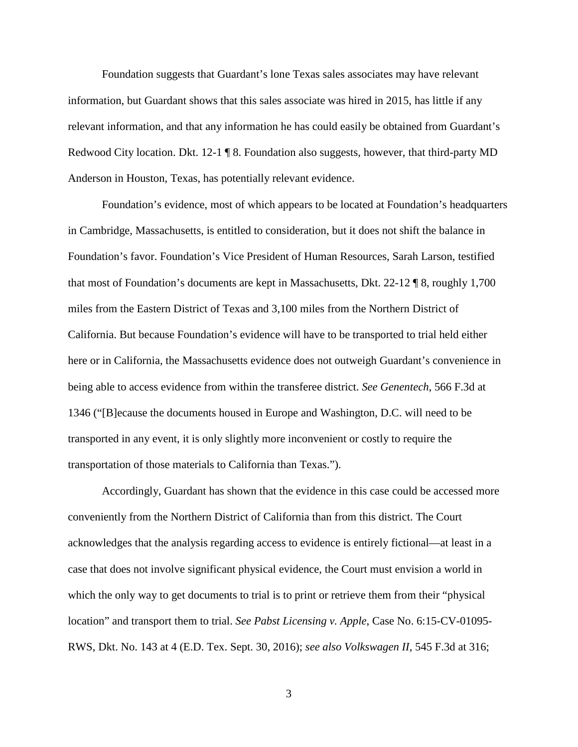Foundation suggests that Guardant's lone Texas sales associates may have relevant information, but Guardant shows that this sales associate was hired in 2015, has little if any relevant information, and that any information he has could easily be obtained from Guardant's Redwood City location. Dkt. 12-1 ¶ 8. Foundation also suggests, however, that third-party MD Anderson in Houston, Texas, has potentially relevant evidence.

Foundation's evidence, most of which appears to be located at Foundation's headquarters in Cambridge, Massachusetts, is entitled to consideration, but it does not shift the balance in Foundation's favor. Foundation's Vice President of Human Resources, Sarah Larson, testified that most of Foundation's documents are kept in Massachusetts, Dkt. 22-12 ¶ 8, roughly 1,700 miles from the Eastern District of Texas and 3,100 miles from the Northern District of California. But because Foundation's evidence will have to be transported to trial held either here or in California, the Massachusetts evidence does not outweigh Guardant's convenience in being able to access evidence from within the transferee district. *See Genentech*, 566 F.3d at 1346 ("[B]ecause the documents housed in Europe and Washington, D.C. will need to be transported in any event, it is only slightly more inconvenient or costly to require the transportation of those materials to California than Texas.").

Accordingly, Guardant has shown that the evidence in this case could be accessed more conveniently from the Northern District of California than from this district. The Court acknowledges that the analysis regarding access to evidence is entirely fictional—at least in a case that does not involve significant physical evidence, the Court must envision a world in which the only way to get documents to trial is to print or retrieve them from their "physical" location" and transport them to trial. *See Pabst Licensing v. Apple*, Case No. 6:15-CV-01095- RWS, Dkt. No. 143 at 4 (E.D. Tex. Sept. 30, 2016); *see also Volkswagen II*, 545 F.3d at 316;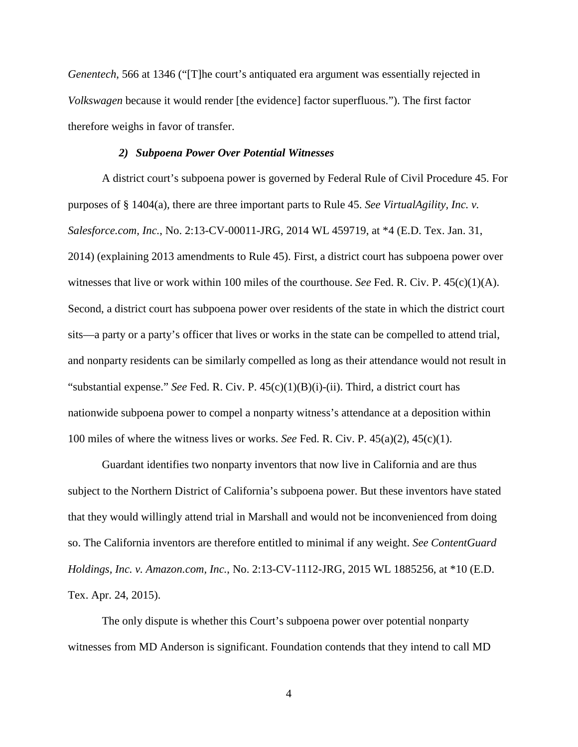*Genentech*, 566 at 1346 ("[T]he court's antiquated era argument was essentially rejected in *Volkswagen* because it would render [the evidence] factor superfluous."). The first factor therefore weighs in favor of transfer.

# *2) Subpoena Power Over Potential Witnesses*

A district court's subpoena power is governed by Federal Rule of Civil Procedure 45. For purposes of § 1404(a), there are three important parts to Rule 45. *See VirtualAgility, Inc. v. Salesforce.com, Inc.*, No. 2:13-CV-00011-JRG, 2014 WL 459719, at \*4 (E.D. Tex. Jan. 31, 2014) (explaining 2013 amendments to Rule 45). First, a district court has subpoena power over witnesses that live or work within 100 miles of the courthouse. *See* Fed. R. Civ. P. 45(c)(1)(A). Second, a district court has subpoena power over residents of the state in which the district court sits—a party or a party's officer that lives or works in the state can be compelled to attend trial, and nonparty residents can be similarly compelled as long as their attendance would not result in "substantial expense." *See* Fed. R. Civ. P. 45(c)(1)(B)(i)-(ii). Third, a district court has nationwide subpoena power to compel a nonparty witness's attendance at a deposition within 100 miles of where the witness lives or works. *See* Fed. R. Civ. P. 45(a)(2), 45(c)(1).

Guardant identifies two nonparty inventors that now live in California and are thus subject to the Northern District of California's subpoena power. But these inventors have stated that they would willingly attend trial in Marshall and would not be inconvenienced from doing so. The California inventors are therefore entitled to minimal if any weight. *See ContentGuard Holdings, Inc. v. Amazon.com, Inc.*, No. 2:13-CV-1112-JRG, 2015 WL 1885256, at \*10 (E.D. Tex. Apr. 24, 2015).

The only dispute is whether this Court's subpoena power over potential nonparty witnesses from MD Anderson is significant. Foundation contends that they intend to call MD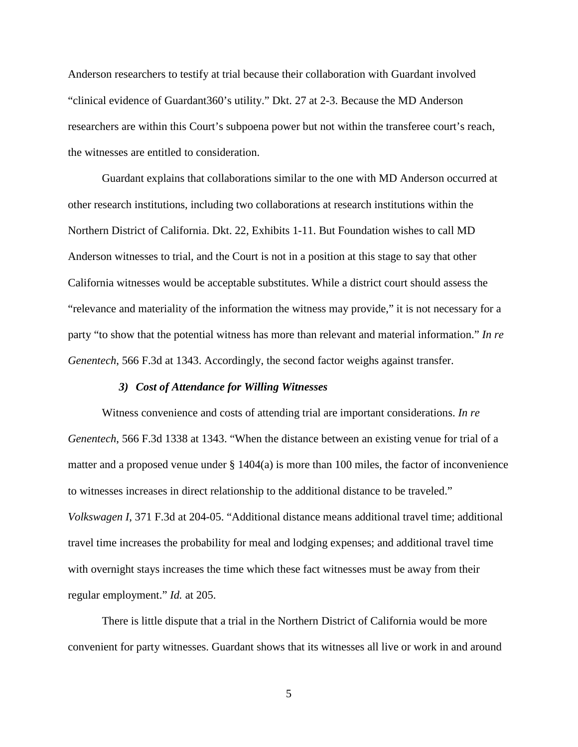Anderson researchers to testify at trial because their collaboration with Guardant involved "clinical evidence of Guardant360's utility." Dkt. 27 at 2-3. Because the MD Anderson researchers are within this Court's subpoena power but not within the transferee court's reach, the witnesses are entitled to consideration.

Guardant explains that collaborations similar to the one with MD Anderson occurred at other research institutions, including two collaborations at research institutions within the Northern District of California. Dkt. 22, Exhibits 1-11. But Foundation wishes to call MD Anderson witnesses to trial, and the Court is not in a position at this stage to say that other California witnesses would be acceptable substitutes. While a district court should assess the "relevance and materiality of the information the witness may provide," it is not necessary for a party "to show that the potential witness has more than relevant and material information." *In re Genentech*, 566 F.3d at 1343. Accordingly, the second factor weighs against transfer.

### *3) Cost of Attendance for Willing Witnesses*

Witness convenience and costs of attending trial are important considerations. *In re Genentech*, 566 F.3d 1338 at 1343. "When the distance between an existing venue for trial of a matter and a proposed venue under  $\S 1404(a)$  is more than 100 miles, the factor of inconvenience to witnesses increases in direct relationship to the additional distance to be traveled." *Volkswagen I*, 371 F.3d at 204-05. "Additional distance means additional travel time; additional travel time increases the probability for meal and lodging expenses; and additional travel time with overnight stays increases the time which these fact witnesses must be away from their regular employment." *Id.* at 205.

There is little dispute that a trial in the Northern District of California would be more convenient for party witnesses. Guardant shows that its witnesses all live or work in and around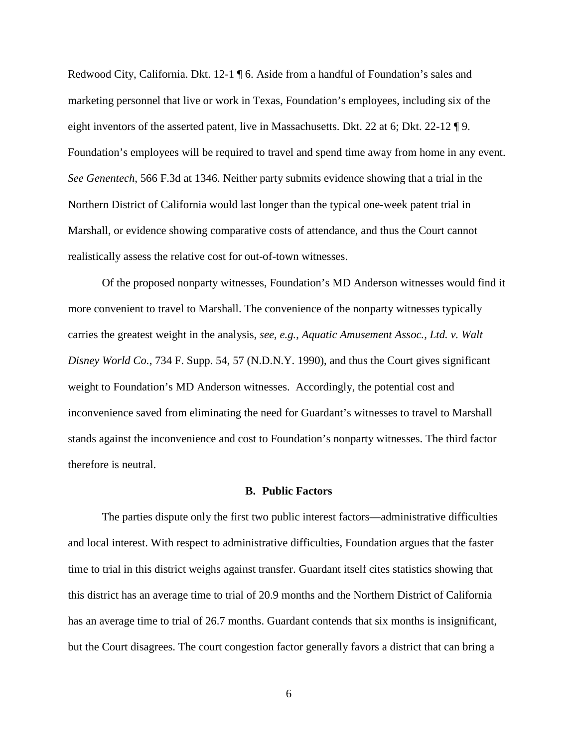Redwood City, California. Dkt. 12-1 ¶ 6. Aside from a handful of Foundation's sales and marketing personnel that live or work in Texas, Foundation's employees, including six of the eight inventors of the asserted patent, live in Massachusetts. Dkt. 22 at 6; Dkt. 22-12  $\P$ 9. Foundation's employees will be required to travel and spend time away from home in any event. *See Genentech*, 566 F.3d at 1346. Neither party submits evidence showing that a trial in the Northern District of California would last longer than the typical one-week patent trial in Marshall, or evidence showing comparative costs of attendance, and thus the Court cannot realistically assess the relative cost for out-of-town witnesses.

Of the proposed nonparty witnesses, Foundation's MD Anderson witnesses would find it more convenient to travel to Marshall. The convenience of the nonparty witnesses typically carries the greatest weight in the analysis, *see, e.g.*, *Aquatic Amusement Assoc., Ltd. v. Walt Disney World Co.*, 734 F. Supp. 54, 57 (N.D.N.Y. 1990), and thus the Court gives significant weight to Foundation's MD Anderson witnesses. Accordingly, the potential cost and inconvenience saved from eliminating the need for Guardant's witnesses to travel to Marshall stands against the inconvenience and cost to Foundation's nonparty witnesses. The third factor therefore is neutral.

### **B. Public Factors**

The parties dispute only the first two public interest factors—administrative difficulties and local interest. With respect to administrative difficulties, Foundation argues that the faster time to trial in this district weighs against transfer. Guardant itself cites statistics showing that this district has an average time to trial of 20.9 months and the Northern District of California has an average time to trial of 26.7 months. Guardant contends that six months is insignificant, but the Court disagrees. The court congestion factor generally favors a district that can bring a